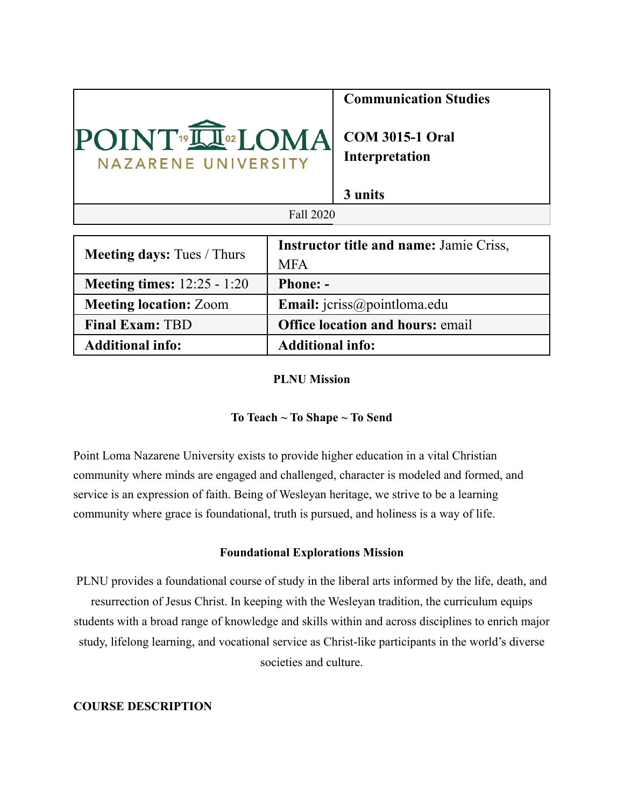|                                                   | <b>Communication Studies</b>                        |  |  |  |
|---------------------------------------------------|-----------------------------------------------------|--|--|--|
| POINT <sup>®IN®</sup> LOMA<br>NAZARENE UNIVERSITY | <b>COM 3015-1 Oral</b><br>Interpretation<br>3 units |  |  |  |
|                                                   |                                                     |  |  |  |
| Fall 2020                                         |                                                     |  |  |  |
|                                                   |                                                     |  |  |  |
| Instructor title and name: Iamie Criss            |                                                     |  |  |  |

| <b>Meeting days:</b> Tues / Thurs    | <b>Instructor title and name: Jamie Criss,</b> |  |  |
|--------------------------------------|------------------------------------------------|--|--|
|                                      | <b>MFA</b>                                     |  |  |
| <b>Meeting times:</b> $12:25 - 1:20$ | <b>Phone: -</b>                                |  |  |
| <b>Meeting location: Zoom</b>        | Email: jcriss@pointloma.edu                    |  |  |
| <b>Final Exam: TBD</b>               | <b>Office location and hours: email</b>        |  |  |
| <b>Additional info:</b>              | <b>Additional info:</b>                        |  |  |

### **PLNU Mission**

## **To Teach ~ To Shape ~ To Send**

Point Loma Nazarene University exists to provide higher education in a vital Christian community where minds are engaged and challenged, character is modeled and formed, and service is an expression of faith. Being of Wesleyan heritage, we strive to be a learning community where grace is foundational, truth is pursued, and holiness is a way of life.

#### **Foundational Explorations Mission**

PLNU provides a foundational course of study in the liberal arts informed by the life, death, and resurrection of Jesus Christ. In keeping with the Wesleyan tradition, the curriculum equips students with a broad range of knowledge and skills within and across disciplines to enrich major study, lifelong learning, and vocational service as Christ-like participants in the world's diverse societies and culture.

# **COURSE DESCRIPTION**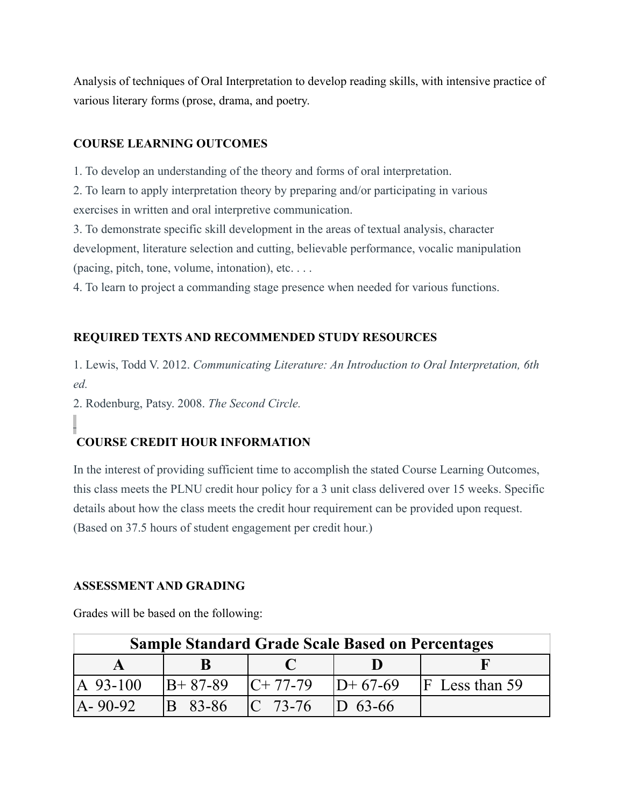Analysis of techniques of Oral Interpretation to develop reading skills, with intensive practice of various literary forms (prose, drama, and poetry.

# **COURSE LEARNING OUTCOMES**

1. To develop an understanding of the theory and forms of oral interpretation.

2. To learn to apply interpretation theory by preparing and/or participating in various exercises in written and oral interpretive communication.

3. To demonstrate specific skill development in the areas of textual analysis, character development, literature selection and cutting, believable performance, vocalic manipulation (pacing, pitch, tone, volume, intonation), etc. . . .

4. To learn to project a commanding stage presence when needed for various functions.

# **REQUIRED TEXTS AND RECOMMENDED STUDY RESOURCES**

1. Lewis, Todd V. 2012. *Communicating Literature: An Introduction to Oral Interpretation, 6th ed.*

2. Rodenburg, Patsy. 2008. *The Second Circle.*

# **COURSE CREDIT HOUR INFORMATION**

In the interest of providing sufficient time to accomplish the stated Course Learning Outcomes, this class meets the PLNU credit hour policy for a 3 unit class delivered over 15 weeks. Specific details about how the class meets the credit hour requirement can be provided upon request. (Based on 37.5 hours of student engagement per credit hour.)

## **ASSESSMENT AND GRADING**

Grades will be based on the following:

| <b>Sample Standard Grade Scale Based on Percentages</b> |         |                                        |  |                    |  |  |
|---------------------------------------------------------|---------|----------------------------------------|--|--------------------|--|--|
|                                                         |         |                                        |  |                    |  |  |
| IA 93-100                                               |         | $ B+ 87-89 $ $ C+ 77-79 $ $ D+ 67-69 $ |  | $ F $ Less than 59 |  |  |
| $[A - 90 - 92]$                                         | B 83-86 | $ C 73-76$ $ D 63-66$                  |  |                    |  |  |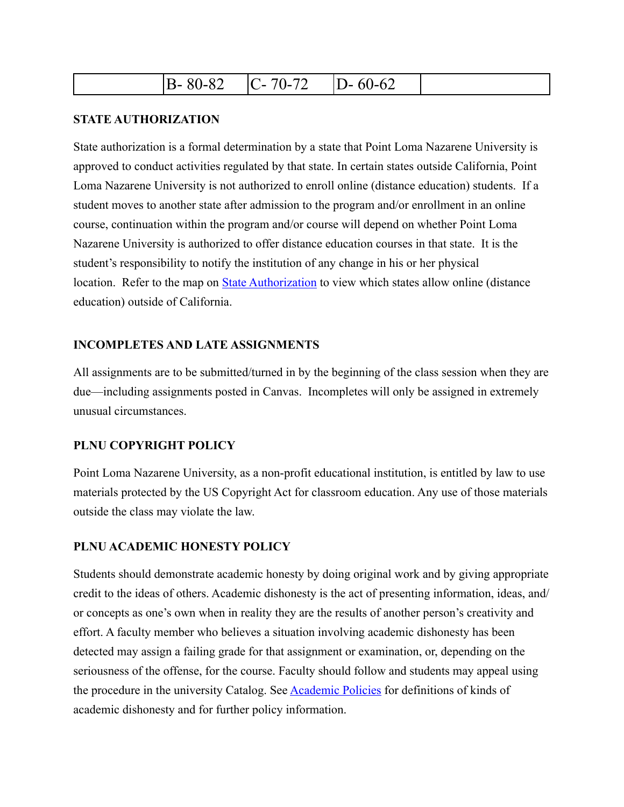| $\Omega'$<br>.<br>D-<br>$  -$ | 70<br>-<br>. .<br>∼<br>$\overline{\phantom{0}}$ | $\sim$<br>$-6^{\circ}$<br>$\mathbf{L}$<br>້ |  |
|-------------------------------|-------------------------------------------------|---------------------------------------------|--|
|-------------------------------|-------------------------------------------------|---------------------------------------------|--|

### **STATE AUTHORIZATION**

State authorization is a formal determination by a state that Point Loma Nazarene University is approved to conduct activities regulated by that state. In certain states outside California, Point Loma Nazarene University is not authorized to enroll online (distance education) students. If a student moves to another state after admission to the program and/or enrollment in an online course, continuation within the program and/or course will depend on whether Point Loma Nazarene University is authorized to offer distance education courses in that state. It is the student's responsibility to notify the institution of any change in his or her physical location. Refer to the map on **State Authorization** to view which states allow online (distance education) outside of California.

### **INCOMPLETES AND LATE ASSIGNMENTS**

All assignments are to be submitted/turned in by the beginning of the class session when they are due—including assignments posted in Canvas. Incompletes will only be assigned in extremely unusual circumstances.

## **PLNU COPYRIGHT POLICY**

Point Loma Nazarene University, as a non-profit educational institution, is entitled by law to use materials protected by the US Copyright Act for classroom education. Any use of those materials outside the class may violate the law.

### **PLNU ACADEMIC HONESTY POLICY**

Students should demonstrate academic honesty by doing original work and by giving appropriate credit to the ideas of others. Academic dishonesty is the act of presenting information, ideas, and/ or concepts as one's own when in reality they are the results of another person's creativity and effort. A faculty member who believes a situation involving academic dishonesty has been detected may assign a failing grade for that assignment or examination, or, depending on the seriousness of the offense, for the course. Faculty should follow and students may appeal using the procedure in the university Catalog. See [Academic Policies](https://catalog.pointloma.edu/content.php?catoid=41&navoid=2435#Academic_Honesty) for definitions of kinds of academic dishonesty and for further policy information.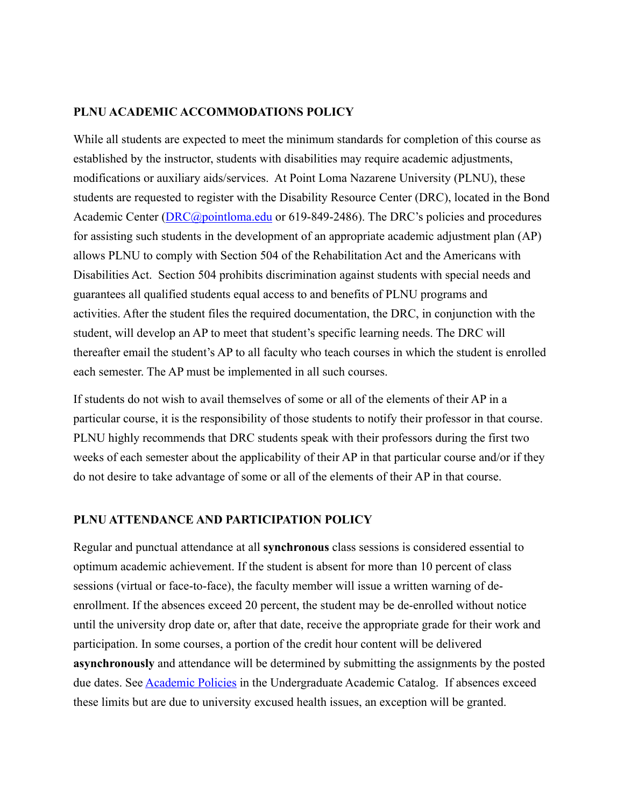### **PLNU ACADEMIC ACCOMMODATIONS POLICY**

While all students are expected to meet the minimum standards for completion of this course as established by the instructor, students with disabilities may require academic adjustments, modifications or auxiliary aids/services. At Point Loma Nazarene University (PLNU), these students are requested to register with the Disability Resource Center (DRC), located in the Bond Academic Center ([DRC@pointloma.edu](mailto:DRC@pointloma.edu) or 619-849-2486). The DRC's policies and procedures for assisting such students in the development of an appropriate academic adjustment plan (AP) allows PLNU to comply with Section 504 of the Rehabilitation Act and the Americans with Disabilities Act. Section 504 prohibits discrimination against students with special needs and guarantees all qualified students equal access to and benefits of PLNU programs and activities. After the student files the required documentation, the DRC, in conjunction with the student, will develop an AP to meet that student's specific learning needs. The DRC will thereafter email the student's AP to all faculty who teach courses in which the student is enrolled each semester. The AP must be implemented in all such courses.

If students do not wish to avail themselves of some or all of the elements of their AP in a particular course, it is the responsibility of those students to notify their professor in that course. PLNU highly recommends that DRC students speak with their professors during the first two weeks of each semester about the applicability of their AP in that particular course and/or if they do not desire to take advantage of some or all of the elements of their AP in that course.

## **PLNU ATTENDANCE AND PARTICIPATION POLICY**

Regular and punctual attendance at all **synchronous** class sessions is considered essential to optimum academic achievement. If the student is absent for more than 10 percent of class sessions (virtual or face-to-face), the faculty member will issue a written warning of deenrollment. If the absences exceed 20 percent, the student may be de-enrolled without notice until the university drop date or, after that date, receive the appropriate grade for their work and participation. In some courses, a portion of the credit hour content will be delivered **asynchronously** and attendance will be determined by submitting the assignments by the posted due dates. See **Academic Policies** in the Undergraduate Academic Catalog. If absences exceed these limits but are due to university excused health issues, an exception will be granted.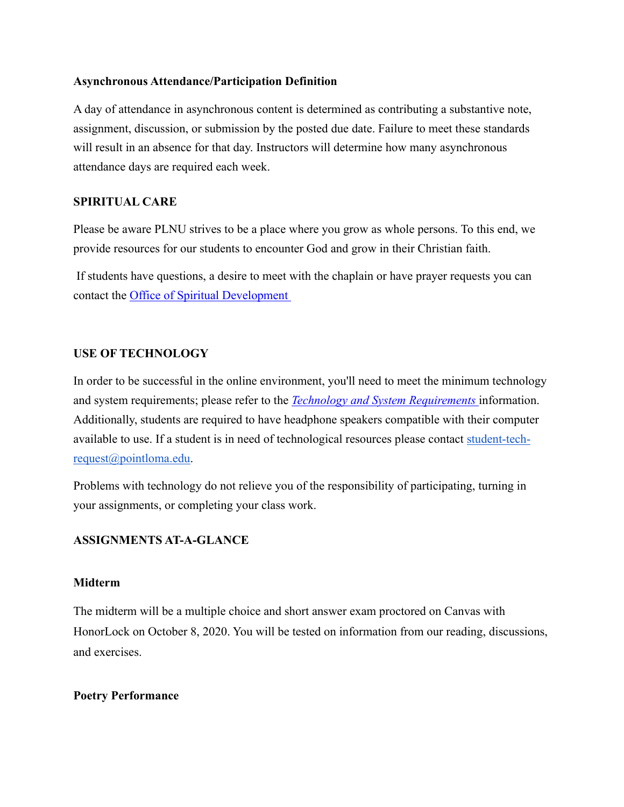#### **Asynchronous Attendance/Participation Definition**

A day of attendance in asynchronous content is determined as contributing a substantive note, assignment, discussion, or submission by the posted due date. Failure to meet these standards will result in an absence for that day. Instructors will determine how many asynchronous attendance days are required each week.

# **SPIRITUAL CARE**

Please be aware PLNU strives to be a place where you grow as whole persons. To this end, we provide resources for our students to encounter God and grow in their Christian faith.

 If students have questions, a desire to meet with the chaplain or have prayer requests you can contact the [Office of Spiritual Development](https://www.pointloma.edu/offices/spiritual-development) 

## **USE OF TECHNOLOGY**

In order to be successful in the online environment, you'll need to meet the minimum technology and system requirements; please refer to the *[Technology and System Requirements](https://help.pointloma.edu/TDClient/1808/Portal/KB/ArticleDet?ID=108349)* information. Additionally, students are required to have headphone speakers compatible with their computer available to use. If a student is in need of technological resources please contact [student-tech](mailto:student-tech-request@pointloma.edu)[request@pointloma.edu.](mailto:student-tech-request@pointloma.edu)

Problems with technology do not relieve you of the responsibility of participating, turning in your assignments, or completing your class work.

# **ASSIGNMENTS AT-A-GLANCE**

## **Midterm**

The midterm will be a multiple choice and short answer exam proctored on Canvas with HonorLock on October 8, 2020. You will be tested on information from our reading, discussions, and exercises.

#### **Poetry Performance**